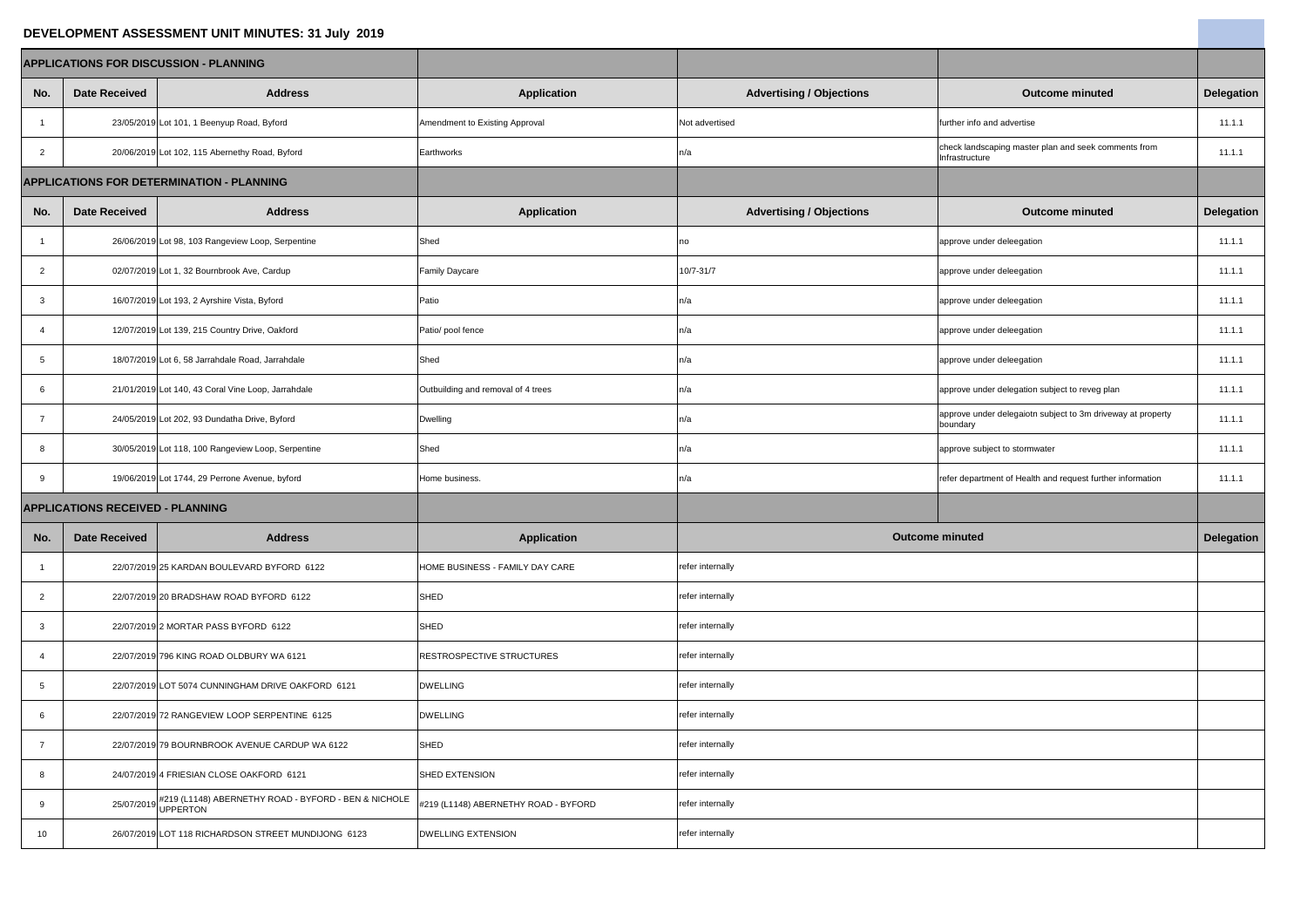## **DEVELOPMENT ASSESSMENT UNIT MINUTES: 31 July 2019**

| DEVELOPMENT ASSESSMENT UNIT MINUTES: 31 July 2019 |                      |                                                                  |                                      |                                 |                                                                         |                   |
|---------------------------------------------------|----------------------|------------------------------------------------------------------|--------------------------------------|---------------------------------|-------------------------------------------------------------------------|-------------------|
| <b>APPLICATIONS FOR DISCUSSION - PLANNING</b>     |                      |                                                                  |                                      |                                 |                                                                         |                   |
| No.                                               | <b>Date Received</b> | <b>Address</b>                                                   | <b>Application</b>                   | <b>Advertising / Objections</b> | <b>Outcome minuted</b>                                                  | <b>Delegation</b> |
|                                                   |                      | 23/05/2019 Lot 101, 1 Beenyup Road, Byford                       | Amendment to Existing Approval       | Not advertised                  | further info and advertise                                              | 11.1.1            |
| $\overline{2}$                                    |                      | 20/06/2019 Lot 102, 115 Abernethy Road, Byford                   | Earthworks                           | n/a                             | check landscaping master plan and seek comments from<br>Infrastructure  | 11.1.1            |
| <b>APPLICATIONS FOR DETERMINATION - PLANNING</b>  |                      |                                                                  |                                      |                                 |                                                                         |                   |
| No.                                               | <b>Date Received</b> | <b>Address</b>                                                   | <b>Application</b>                   | <b>Advertising / Objections</b> | <b>Outcome minuted</b>                                                  | <b>Delegation</b> |
|                                                   |                      | 26/06/2019 Lot 98, 103 Rangeview Loop, Serpentine                | Shed                                 | no                              | approve under deleegation                                               | 11.1.1            |
| $\overline{2}$                                    |                      | 02/07/2019 Lot 1, 32 Bournbrook Ave, Cardup                      | <b>Family Daycare</b>                | 10/7-31/7                       | approve under deleegation                                               | 11.1.1            |
| $\mathbf{3}$                                      |                      | 16/07/2019 Lot 193, 2 Ayrshire Vista, Byford                     | Patio                                | n/a                             | approve under deleegation                                               | 11.1.1            |
| $\overline{4}$                                    |                      | 12/07/2019 Lot 139, 215 Country Drive, Oakford                   | Patio/ pool fence                    | า/a                             | approve under deleegation                                               | 11.1.1            |
| $\overline{5}$                                    |                      | 18/07/2019 Lot 6, 58 Jarrahdale Road, Jarrahdale                 | Shed                                 | n/a                             | approve under deleegation                                               | 11.1.1            |
| 6                                                 |                      | 21/01/2019 Lot 140, 43 Coral Vine Loop, Jarrahdale               | Outbuilding and removal of 4 trees   | n/a                             | approve under delegation subject to reveg plan                          | 11.1.1            |
|                                                   |                      | 24/05/2019 Lot 202, 93 Dundatha Drive, Byford                    | Dwelling                             | n/a                             | approve under delegaiotn subject to 3m driveway at property<br>boundary | 11.1.1            |
| $8\phantom{1}$                                    |                      | 30/05/2019 Lot 118, 100 Rangeview Loop, Serpentine               | Shed                                 | า/a                             | approve subject to stormwater                                           | 11.1.1            |
| 9                                                 |                      | 19/06/2019 Lot 1744, 29 Perrone Avenue, byford                   | Home business.                       | n/a                             | refer department of Health and request further information              | 11.1.1            |
| <b>APPLICATIONS RECEIVED - PLANNING</b>           |                      |                                                                  |                                      |                                 |                                                                         |                   |
| No.                                               | <b>Date Received</b> | <b>Address</b>                                                   | <b>Application</b>                   | <b>Outcome minuted</b>          |                                                                         | <b>Delegation</b> |
|                                                   |                      | 22/07/2019 25 KARDAN BOULEVARD BYFORD 6122                       | HOME BUSINESS - FAMILY DAY CARE      | refer internally                |                                                                         |                   |
| 2                                                 |                      | 22/07/2019 20 BRADSHAW ROAD BYFORD 6122                          | SHED                                 | refer internally                |                                                                         |                   |
| $\mathbf{3}$                                      |                      | 22/07/2019 2 MORTAR PASS BYFORD 6122                             | <b>SHED</b>                          | refer internally                |                                                                         |                   |
| 4                                                 |                      | 22/07/2019 796 KING ROAD OLDBURY WA 6121                         | <b>RESTROSPECTIVE STRUCTURES</b>     | refer internally                |                                                                         |                   |
| $5\phantom{.0}$                                   |                      | 22/07/2019 LOT 5074 CUNNINGHAM DRIVE OAKFORD 6121                | <b>DWELLING</b>                      | refer internally                |                                                                         |                   |
| $6\overline{6}$                                   |                      | 22/07/2019 72 RANGEVIEW LOOP SERPENTINE 6125                     | <b>DWELLING</b>                      | refer internally                |                                                                         |                   |
|                                                   |                      | 22/07/2019 79 BOURNBROOK AVENUE CARDUP WA 6122                   | <b>SHED</b>                          | refer internally                |                                                                         |                   |
| 8                                                 |                      | 24/07/2019 4 FRIESIAN CLOSE OAKFORD 6121                         | <b>SHED EXTENSION</b>                | refer internally                |                                                                         |                   |
| 9                                                 | 25/07/2019           | #219 (L1148) ABERNETHY ROAD - BYFORD - BEN & NICHOLE<br>UPPERTON | #219 (L1148) ABERNETHY ROAD - BYFORD | refer internally                |                                                                         |                   |
| 10 <sup>°</sup>                                   |                      | 26/07/2019 LOT 118 RICHARDSON STREET MUNDIJONG 6123              | <b>DWELLING EXTENSION</b>            | refer internally                |                                                                         |                   |

**Contract Contract Contract**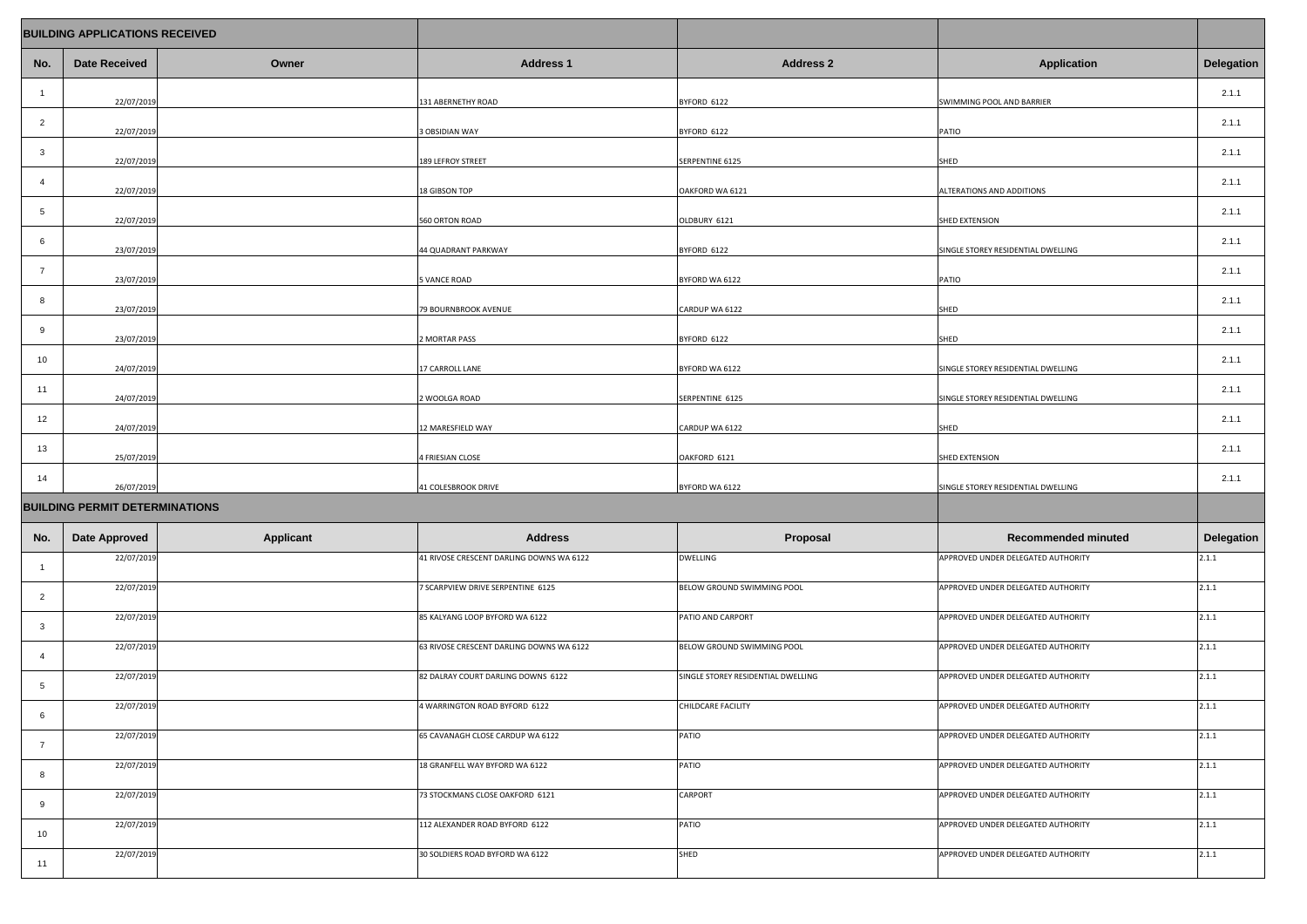| <b>BUILDING APPLICATIONS RECEIVED</b> |                      |                  |                                          |                                    |                                    |                   |
|---------------------------------------|----------------------|------------------|------------------------------------------|------------------------------------|------------------------------------|-------------------|
| No.                                   | <b>Date Received</b> | Owner            | <b>Address 1</b>                         | <b>Address 2</b>                   | <b>Application</b>                 | <b>Delegation</b> |
|                                       | 22/07/2019           |                  | 131 ABERNETHY ROAD                       | BYFORD 6122                        | SWIMMING POOL AND BARRIER          | 2.1.1             |
| $\overline{2}$                        | 22/07/2019           |                  | 3 OBSIDIAN WAY                           | BYFORD 6122                        | PATIO                              | 2.1.1             |
| $\mathbf{3}$                          | 22/07/2019           |                  | 189 LEFROY STREET                        | SERPENTINE 6125                    | SHED                               | 2.1.1             |
| $\overline{4}$                        | 22/07/2019           |                  | 18 GIBSON TOP                            | OAKFORD WA 6121                    | <b>ALTERATIONS AND ADDITIONS</b>   | 2.1.1             |
| $5\overline{)}$                       | 22/07/2019           |                  | 560 ORTON ROAD                           | OLDBURY 6121                       | SHED EXTENSION                     | 2.1.1             |
| 6                                     | 23/07/2019           |                  | 44 QUADRANT PARKWAY                      | BYFORD 6122                        | SINGLE STOREY RESIDENTIAL DWELLING | 2.1.1             |
| $\overline{7}$                        | 23/07/2019           |                  | 5 VANCE ROAD                             | BYFORD WA 6122                     | PATIO                              | 2.1.1             |
| 8                                     | 23/07/2019           |                  | 79 BOURNBROOK AVENUE                     | CARDUP WA 6122                     | SHED                               | 2.1.1             |
| 9                                     | 23/07/2019           |                  | 2 MORTAR PASS                            | BYFORD 6122                        | SHED                               | 2.1.1             |
| 10                                    | 24/07/2019           |                  | 17 CARROLL LANE                          | BYFORD WA 6122                     | SINGLE STOREY RESIDENTIAL DWELLING | 2.1.1             |
| 11                                    | 24/07/2019           |                  | 2 WOOLGA ROAD                            | SERPENTINE 6125                    | SINGLE STOREY RESIDENTIAL DWELLING | 2.1.1             |
| 12                                    | 24/07/2019           |                  | 12 MARESFIELD WAY                        | CARDUP WA 6122                     | SHED                               | 2.1.1             |
| 13                                    | 25/07/2019           |                  | 4 FRIESIAN CLOSE                         | OAKFORD 6121                       | SHED EXTENSION                     | 2.1.1             |
| 14                                    | 26/07/2019           |                  | 41 COLESBROOK DRIVE                      | BYFORD WA 6122                     | SINGLE STOREY RESIDENTIAL DWELLING | 2.1.1             |
| <b>BUILDING PERMIT DETERMINATIONS</b> |                      |                  |                                          |                                    |                                    |                   |
| No.                                   | <b>Date Approved</b> | <b>Applicant</b> | <b>Address</b>                           | Proposal                           | <b>Recommended minuted</b>         | <b>Delegation</b> |
|                                       | 22/07/2019           |                  | 41 RIVOSE CRESCENT DARLING DOWNS WA 6122 | <b>DWELLING</b>                    | APPROVED UNDER DELEGATED AUTHORITY | 2.1.1             |
| $\overline{2}$                        | 22/07/2019           |                  | 7 SCARPVIEW DRIVE SERPENTINE 6125        | <b>BELOW GROUND SWIMMING POOL</b>  | APPROVED UNDER DELEGATED AUTHORITY | 2.1.1             |
| $\mathbf{3}$                          | 22/07/2019           |                  | 85 KALYANG LOOP BYFORD WA 6122           | PATIO AND CARPORT                  | APPROVED UNDER DELEGATED AUTHORITY | 2.1.1             |
| $\overline{A}$                        | 22/07/2019           |                  | 63 RIVOSE CRESCENT DARLING DOWNS WA 6122 | <b>BELOW GROUND SWIMMING POOL</b>  | APPROVED UNDER DELEGATED AUTHORITY | 2.1.1             |
| 5                                     | 22/07/2019           |                  | 82 DALRAY COURT DARLING DOWNS 6122       | SINGLE STOREY RESIDENTIAL DWELLING | APPROVED UNDER DELEGATED AUTHORITY | 2.1.1             |
| 6                                     | 22/07/2019           |                  | 4 WARRINGTON ROAD BYFORD 6122            | CHILDCARE FACILITY                 | APPROVED UNDER DELEGATED AUTHORITY | 2.1.1             |
| $\overline{7}$                        | 22/07/2019           |                  | 65 CAVANAGH CLOSE CARDUP WA 6122         | PATIO                              | APPROVED UNDER DELEGATED AUTHORITY | 2.1.1             |
|                                       | 22/07/2019           |                  | 18 GRANFELL WAY BYFORD WA 6122           | <b>PATIO</b>                       | APPROVED UNDER DELEGATED AUTHORITY | 2.1.1             |
| 9                                     | 22/07/2019           |                  | 73 STOCKMANS CLOSE OAKFORD 6121          | <b>CARPORT</b>                     | APPROVED UNDER DELEGATED AUTHORITY | 2.1.1             |
| 10                                    | 22/07/2019           |                  | 112 ALEXANDER ROAD BYFORD 6122           | PATIO                              | APPROVED UNDER DELEGATED AUTHORITY | 2.1.1             |
| 11                                    | 22/07/2019           |                  | 30 SOLDIERS ROAD BYFORD WA 6122          | <b>SHED</b>                        | APPROVED UNDER DELEGATED AUTHORITY | 2.1.1             |